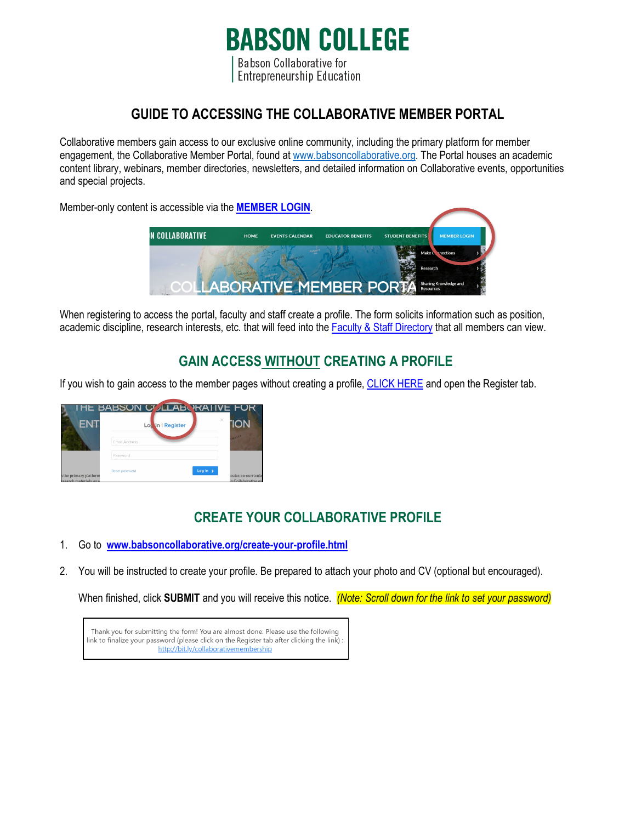## **BABSON COLLEGE**

Babson Collaborative for **Entrepreneurship Education** 

## **GUIDE TO ACCESSING THE COLLABORATIVE MEMBER PORTAL**

Collaborative members gain access to our exclusive online community, including the primary platform for member engagement, the Collaborative Member Portal, found at [www.babsoncollaborative.org.](http://www.babsoncollaborative.org/) The Portal houses an academic content library, webinars, member directories, newsletters, and detailed information on Collaborative events, opportunities and special projects.

Member-only content is accessible via the **[MEMBER LOGIN](https://www.babsoncollaborative.org/#login)**.



When registering to access the portal, faculty and staff create a profile. The form solicits information such as position, academic discipline, research interests, etc. that will feed into the [Faculty & Staff Directory](https://www.babsoncollaborative.org/faculty--staff-directory.html) that all members can view.

## **GAIN ACCESS WITHOUT CREATING A PROFILE**

If you wish to gain access to the member pages without creating a profile, [CLICK HERE](https://www.babsoncollaborative.org/#login) and open the Register tab.



## **CREATE YOUR COLLABORATIVE PROFILE**

- 1. Go to **[www.babsoncollaborative.org/create-your-profile.html](http://www.babsoncollaborative.org/create-your-profile.html)**
- 2. You will be instructed to create your profile. Be prepared to attach your photo and CV (optional but encouraged).

When finished, click **SUBMIT** and you will receive this notice. *(Note: Scroll down for the link to set your password)*

Thank you for submitting the form! You are almost done. Please use the following link to finalize your password (please click on the Register tab after clicking the link) http://bit.ly/collaborativemembership